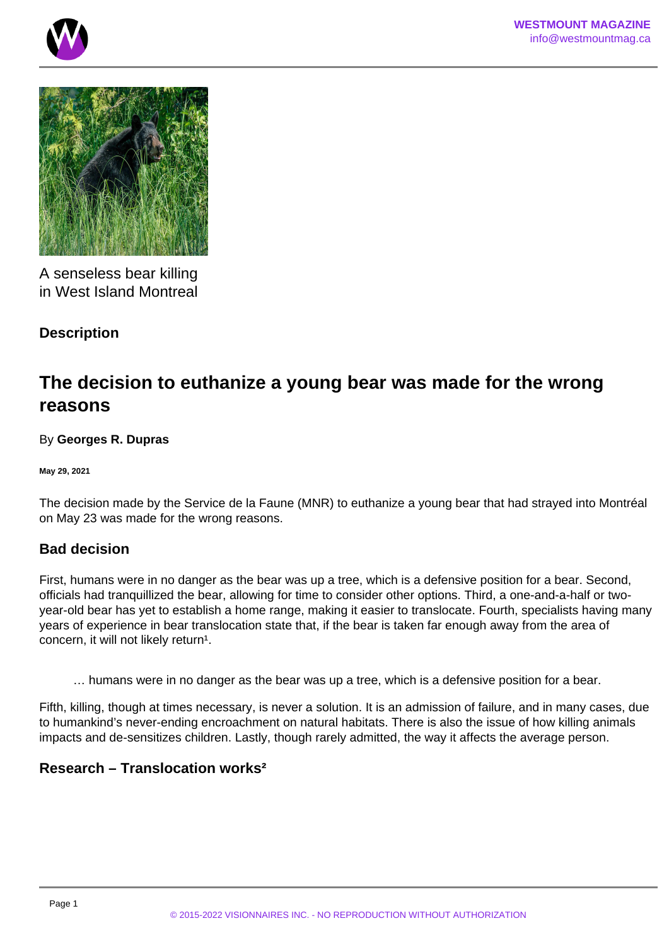



A senseless bear killing in West Island Montreal

# **Description**

# **The decision to euthanize a young bear was made for the wrong reasons**

By **Georges R. Dupras**

**May 29, 2021**

The decision made by the Service de la Faune (MNR) to euthanize a young bear that had strayed into Montréal on May 23 was made for the wrong reasons.

### **Bad decision**

First, humans were in no danger as the bear was up a tree, which is a defensive position for a bear. Second, officials had tranquillized the bear, allowing for time to consider other options. Third, a one-and-a-half or twoyear-old bear has yet to establish a home range, making it easier to translocate. Fourth, specialists having many years of experience in bear translocation state that, if the bear is taken far enough away from the area of concern, it will not likely return<sup>1</sup>.

… humans were in no danger as the bear was up a tree, which is a defensive position for a bear.

Fifth, killing, though at times necessary, is never a solution. It is an admission of failure, and in many cases, due to humankind's never-ending encroachment on natural habitats. There is also the issue of how killing animals impacts and de-sensitizes children. Lastly, though rarely admitted, the way it affects the average person.

# **Research – Translocation works²**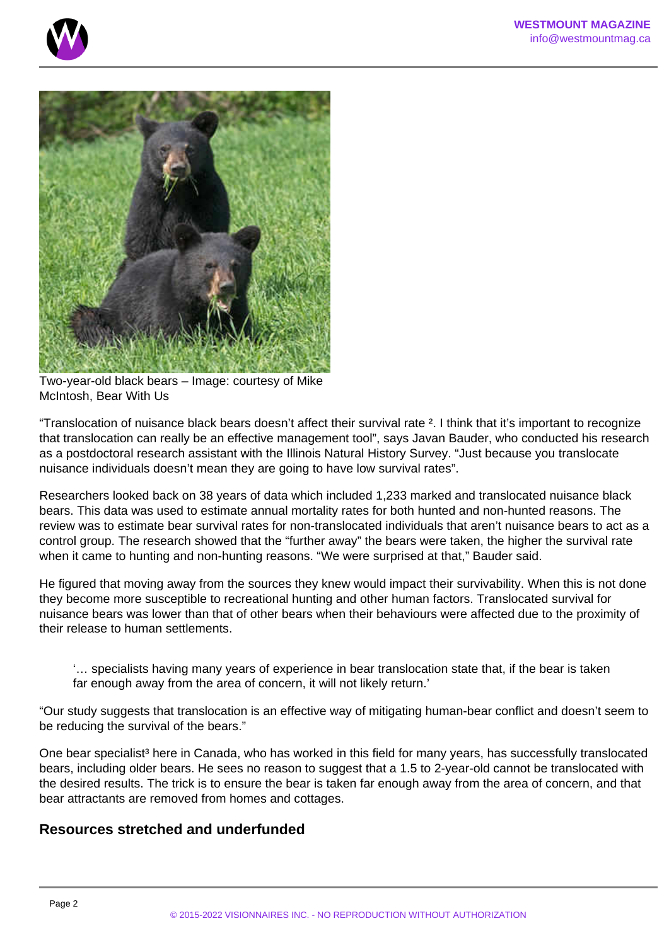



Two-year-old black bears – Image: courtesy of Mike McIntosh, Bear With Us

"Translocation of nuisance black bears doesn't affect their survival rate ². I think that it's important to recognize that translocation can really be an effective management tool", says Javan Bauder, who conducted his research as a postdoctoral research assistant with the Illinois Natural History Survey. "Just because you translocate nuisance individuals doesn't mean they are going to have low survival rates".

Researchers looked back on 38 years of data which included 1,233 marked and translocated nuisance black bears. This data was used to estimate annual mortality rates for both hunted and non-hunted reasons. The review was to estimate bear survival rates for non-translocated individuals that aren't nuisance bears to act as a control group. The research showed that the "further away" the bears were taken, the higher the survival rate when it came to hunting and non-hunting reasons. "We were surprised at that," Bauder said.

He figured that moving away from the sources they knew would impact their survivability. When this is not done they become more susceptible to recreational hunting and other human factors. Translocated survival for nuisance bears was lower than that of other bears when their behaviours were affected due to the proximity of their release to human settlements.

'… specialists having many years of experience in bear translocation state that, if the bear is taken far enough away from the area of concern, it will not likely return.'

"Our study suggests that translocation is an effective way of mitigating human-bear conflict and doesn't seem to be reducing the survival of the bears."

One bear specialist<sup>3</sup> here in Canada, who has worked in this field for many years, has successfully translocated bears, including older bears. He sees no reason to suggest that a 1.5 to 2-year-old cannot be translocated with the desired results. The trick is to ensure the bear is taken far enough away from the area of concern, and that bear attractants are removed from homes and cottages.

### **Resources stretched and underfunded**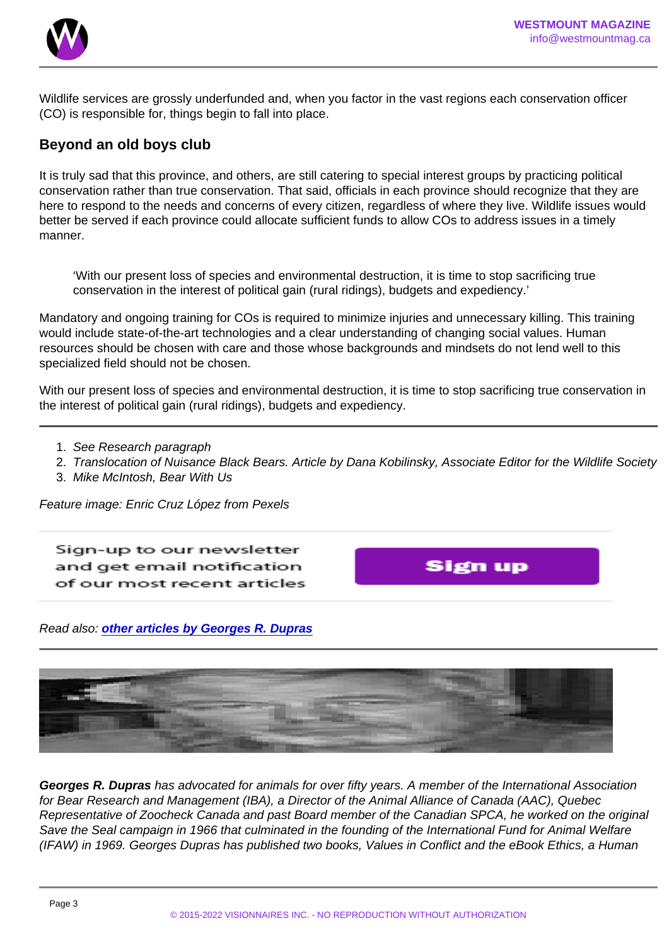Wildlife services are grossly underfunded and, when you factor in the vast regions each conservation officer (CO) is responsible for, things begin to fall into place.

#### Beyond an old boys club

It is truly sad that this province, and others, are still catering to special interest groups by practicing political conservation rather than true conservation. That said, officials in each province should recognize that they are here to respond to the needs and concerns of every citizen, regardless of where they live. Wildlife issues would better be served if each province could allocate sufficient funds to allow COs to address issues in a timely manner.

'With our present loss of species and environmental destruction, it is time to stop sacrificing true conservation in the interest of political gain (rural ridings), budgets and expediency.'

Mandatory and ongoing training for COs is required to minimize injuries and unnecessary killing. This training would include state-of-the-art technologies and a clear understanding of changing social values. Human resources should be chosen with care and those whose backgrounds and mindsets do not lend well to this specialized field should not be chosen.

With our present loss of species and environmental destruction, it is time to stop sacrificing true conservation in the interest of political gain (rural ridings), budgets and expediency.

- 1. See Research paragraph
- 2. Translocation of Nuisance Black Bears. Article by Dana Kobilinsky, Associate Editor for the Wildlife Society
- 3. Mike McIntosh, Bear With Us

Feature image: Enric Cruz López from Pexels

Read also: [other articles by Georges R. Dupras](https://www.westmountmag.ca/?s=georges+dupras)

Georges R. Dupras has advocated for animals for over fifty years. A member of the International Association for Bear Research and Management (IBA), a Director of the Animal Alliance of Canada (AAC), Quebec Representative of Zoocheck Canada and past Board member of the Canadian SPCA, he worked on the original Save the Seal campaign in 1966 that culminated in the founding of the International Fund for Animal Welfare (IFAW) in 1969. Georges Dupras has published two books, Values in Conflict and the eBook Ethics, a Human